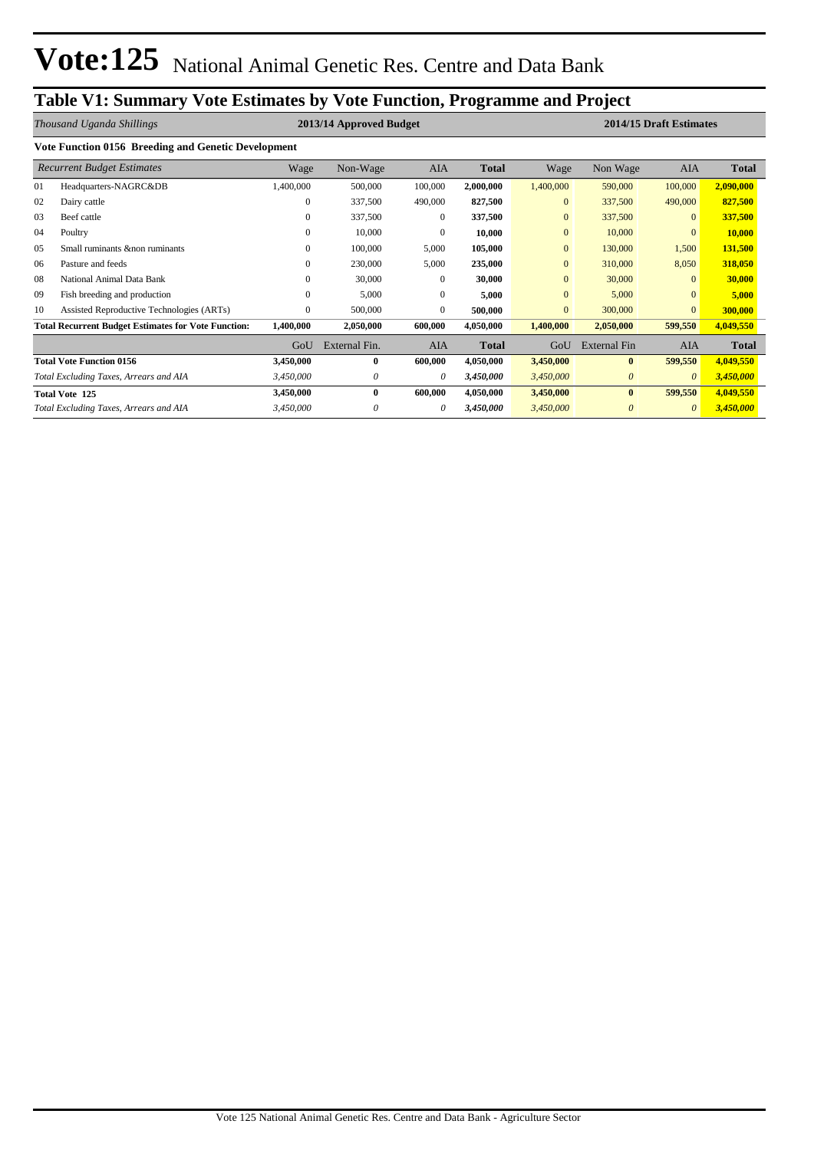# **Table V1: Summary Vote Estimates by Vote Function, Programme and Project**

|    | Thousand Uganda Shillings                                  |              | 2013/14 Approved Budget |              |              |              | 2014/15 Draft Estimates |                       |              |
|----|------------------------------------------------------------|--------------|-------------------------|--------------|--------------|--------------|-------------------------|-----------------------|--------------|
|    | Vote Function 0156 Breeding and Genetic Development        |              |                         |              |              |              |                         |                       |              |
|    | <b>Recurrent Budget Estimates</b>                          | Wage         | Non-Wage                | AIA          | <b>Total</b> | Wage         | Non Wage                | <b>AIA</b>            | <b>Total</b> |
| 01 | Headquarters-NAGRC&DB                                      | 1,400,000    | 500,000                 | 100,000      | 2,000,000    | 1,400,000    | 590,000                 | 100,000               | 2,090,000    |
| 02 | Dairy cattle                                               | $\mathbf{0}$ | 337,500                 | 490,000      | 827,500      | $\mathbf{0}$ | 337,500                 | 490,000               | 827,500      |
| 03 | Beef cattle                                                | $\mathbf{0}$ | 337,500                 | $\Omega$     | 337,500      | $\mathbf{0}$ | 337,500                 | $\mathbf{0}$          | 337,500      |
| 04 | Poultry                                                    | $\mathbf{0}$ | 10,000                  | $\mathbf{0}$ | 10,000       | $\mathbf{0}$ | 10,000                  | $\mathbf{0}$          | 10,000       |
| 05 | Small ruminants & non ruminants                            | $\mathbf{0}$ | 100,000                 | 5,000        | 105,000      | $\mathbf{0}$ | 130,000                 | 1,500                 | 131,500      |
| 06 | Pasture and feeds                                          | $\mathbf{0}$ | 230,000                 | 5,000        | 235,000      | $\mathbf{0}$ | 310,000                 | 8,050                 | 318,050      |
| 08 | National Animal Data Bank                                  | $\mathbf{0}$ | 30,000                  | $\Omega$     | 30,000       | $\mathbf{0}$ | 30,000                  | $\Omega$              | 30,000       |
| 09 | Fish breeding and production                               | $\mathbf{0}$ | 5,000                   | $\Omega$     | 5,000        | $\mathbf{0}$ | 5,000                   | $\Omega$              | 5,000        |
| 10 | Assisted Reproductive Technologies (ARTs)                  | $\mathbf{0}$ | 500,000                 | $\Omega$     | 500,000      | $\mathbf{0}$ | 300,000                 | $\overline{0}$        | 300,000      |
|    | <b>Total Recurrent Budget Estimates for Vote Function:</b> | 1,400,000    | 2,050,000               | 600,000      | 4,050,000    | 1,400,000    | 2,050,000               | 599,550               | 4,049,550    |
|    |                                                            | GoU          | External Fin.           | <b>AIA</b>   | <b>Total</b> | GoU          | <b>External Fin</b>     | <b>AIA</b>            | <b>Total</b> |
|    | <b>Total Vote Function 0156</b>                            | 3,450,000    | $\bf{0}$                | 600,000      | 4,050,000    | 3,450,000    | $\bf{0}$                | 599,550               | 4,049,550    |
|    | Total Excluding Taxes, Arrears and AIA                     | 3,450,000    | 0                       | 0            | 3,450,000    | 3,450,000    | $\boldsymbol{\theta}$   | $\boldsymbol{\theta}$ | 3,450,000    |
|    | <b>Total Vote 125</b>                                      | 3,450,000    | $\bf{0}$                | 600,000      | 4,050,000    | 3,450,000    | $\bf{0}$                | 599,550               | 4,049,550    |
|    | Total Excluding Taxes, Arrears and AIA                     | 3,450,000    | 0                       | 0            | 3,450,000    | 3,450,000    | $\boldsymbol{\theta}$   | $\theta$              | 3,450,000    |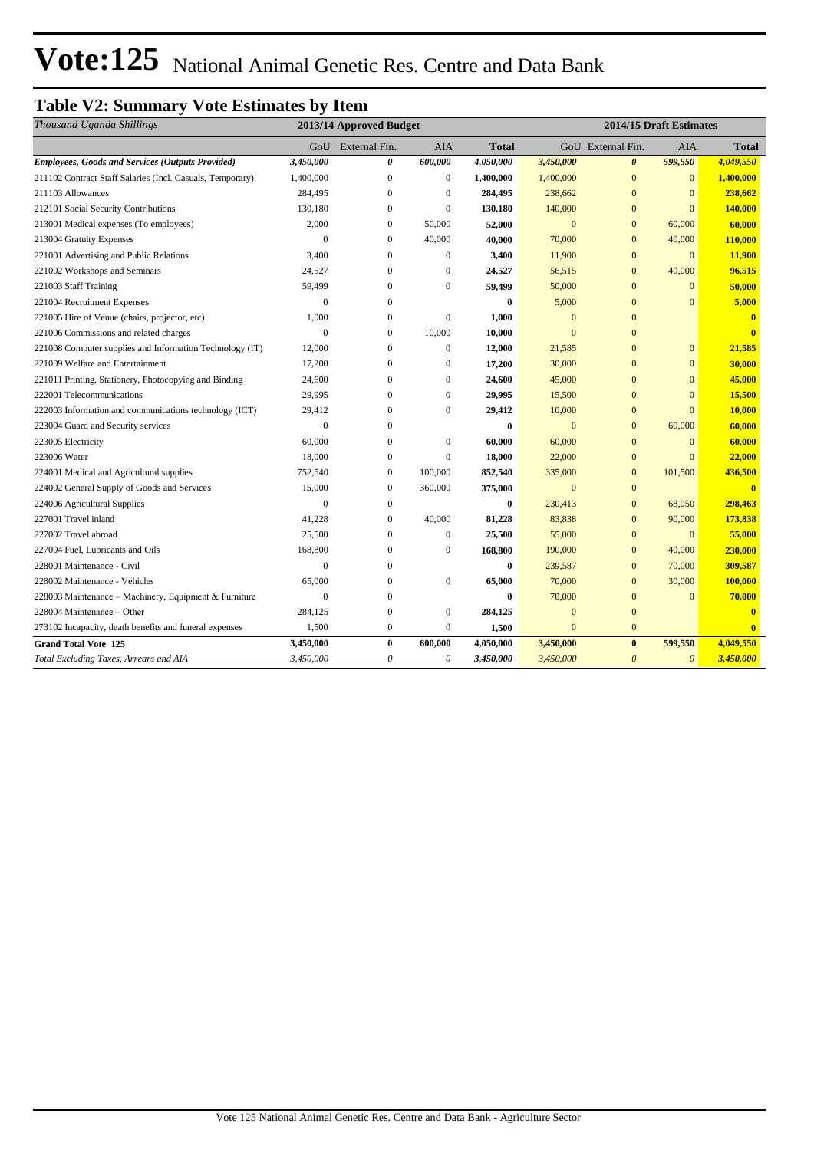# Vote: 125 National Animal Genetic Res. Centre and Data Bank

# **Table V2: Summary Vote Estimates by Item**

| Thousand Uganda Shillings                                 |                | 2013/14 Approved Budget |                  |           |                |                       | 2014/15 Draft Estimates |                         |
|-----------------------------------------------------------|----------------|-------------------------|------------------|-----------|----------------|-----------------------|-------------------------|-------------------------|
|                                                           |                | GoU External Fin.       | <b>AIA</b>       | Total     |                | GoU External Fin.     | <b>AIA</b>              | <b>Total</b>            |
| <b>Employees, Goods and Services (Outputs Provided)</b>   | 3,450,000      | 0                       | 600,000          | 4,050,000 | 3,450,000      | $\boldsymbol{\theta}$ | 599,550                 | 4,049,550               |
| 211102 Contract Staff Salaries (Incl. Casuals, Temporary) | 1,400,000      | $\mathbf{0}$            | $\mathbf{0}$     | 1,400,000 | 1,400,000      | $\mathbf{0}$          | $\mathbf{0}$            | 1,400,000               |
| 211103 Allowances                                         | 284,495        | $\theta$                | $\mathbf{0}$     | 284,495   | 238,662        | $\mathbf{0}$          | $\mathbf{0}$            | 238,662                 |
| 212101 Social Security Contributions                      | 130,180        | $\boldsymbol{0}$        | $\boldsymbol{0}$ | 130,180   | 140,000        | $\mathbf{0}$          | $\overline{0}$          | 140,000                 |
| 213001 Medical expenses (To employees)                    | 2,000          | $\mathbf{0}$            | 50,000           | 52,000    | $\overline{0}$ | $\mathbf{0}$          | 60,000                  | 60,000                  |
| 213004 Gratuity Expenses                                  | $\Omega$       | $\mathbf{0}$            | 40,000           | 40,000    | 70,000         | $\mathbf{0}$          | 40,000                  | 110,000                 |
| 221001 Advertising and Public Relations                   | 3,400          | $\mathbf{0}$            | $\boldsymbol{0}$ | 3,400     | 11,900         | $\mathbf{0}$          | $\mathbf{0}$            | 11,900                  |
| 221002 Workshops and Seminars                             | 24,527         | $\theta$                | $\mathbf{0}$     | 24,527    | 56,515         | $\mathbf{0}$          | 40,000                  | 96,515                  |
| 221003 Staff Training                                     | 59,499         | $\mathbf{0}$            | $\mathbf{0}$     | 59,499    | 50,000         | $\mathbf{0}$          | $\mathbf{0}$            | 50,000                  |
| 221004 Recruitment Expenses                               | $\overline{0}$ | $\mathbf{0}$            |                  | $\bf{0}$  | 5,000          | $\mathbf{0}$          | $\mathbf{0}$            | 5,000                   |
| 221005 Hire of Venue (chairs, projector, etc)             | 1,000          | $\mathbf{0}$            | $\mathbf{0}$     | 1,000     | $\mathbf{0}$   | $\mathbf{0}$          |                         | $\bf{0}$                |
| 221006 Commissions and related charges                    | $\mathbf{0}$   | $\mathbf{0}$            | 10,000           | 10,000    | $\overline{0}$ | $\mathbf{0}$          |                         | $\mathbf{0}$            |
| 221008 Computer supplies and Information Technology (IT)  | 12,000         | $\mathbf{0}$            | $\boldsymbol{0}$ | 12,000    | 21,585         | $\mathbf{0}$          | $\mathbf{0}$            | 21,585                  |
| 221009 Welfare and Entertainment                          | 17,200         | $\mathbf{0}$            | $\boldsymbol{0}$ | 17,200    | 30,000         | $\mathbf{0}$          | $\mathbf{0}$            | 30,000                  |
| 221011 Printing, Stationery, Photocopying and Binding     | 24,600         | $\mathbf{0}$            | $\mathbf{0}$     | 24,600    | 45,000         | $\overline{0}$        | $\overline{0}$          | 45,000                  |
| 222001 Telecommunications                                 | 29,995         | $\mathbf{0}$            | $\boldsymbol{0}$ | 29,995    | 15,500         | $\mathbf{0}$          | $\overline{0}$          | 15,500                  |
| 222003 Information and communications technology (ICT)    | 29,412         | $\mathbf{0}$            | $\boldsymbol{0}$ | 29,412    | 10,000         | $\mathbf{0}$          | $\overline{0}$          | 10,000                  |
| 223004 Guard and Security services                        | $\Omega$       | $\Omega$                |                  | 0         | $\mathbf{0}$   | $\mathbf{0}$          | 60,000                  | 60,000                  |
| 223005 Electricity                                        | 60,000         | $\mathbf{0}$            | $\boldsymbol{0}$ | 60,000    | 60,000         | $\mathbf{0}$          | $\mathbf{0}$            | 60,000                  |
| 223006 Water                                              | 18,000         | $\overline{0}$          | $\boldsymbol{0}$ | 18,000    | 22,000         | $\mathbf{0}$          | $\mathbf{0}$            | 22,000                  |
| 224001 Medical and Agricultural supplies                  | 752,540        | $\mathbf{0}$            | 100,000          | 852,540   | 335,000        | $\mathbf{0}$          | 101,500                 | 436,500                 |
| 224002 General Supply of Goods and Services               | 15,000         | $\boldsymbol{0}$        | 360,000          | 375,000   | $\mathbf{0}$   | $\mathbf{0}$          |                         | $\overline{\mathbf{0}}$ |
| 224006 Agricultural Supplies                              | $\Omega$       | $\mathbf{0}$            |                  | $\bf{0}$  | 230,413        | $\mathbf{0}$          | 68,050                  | 298,463                 |
| 227001 Travel inland                                      | 41,228         | $\mathbf{0}$            | 40,000           | 81,228    | 83,838         | $\mathbf{0}$          | 90,000                  | 173,838                 |
| 227002 Travel abroad                                      | 25,500         | $\mathbf{0}$            | $\boldsymbol{0}$ | 25,500    | 55,000         | $\mathbf{0}$          | $\mathbf{0}$            | 55,000                  |
| 227004 Fuel, Lubricants and Oils                          | 168,800        | $\Omega$                | $\boldsymbol{0}$ | 168,800   | 190,000        | $\mathbf{0}$          | 40,000                  | 230,000                 |
| 228001 Maintenance - Civil                                | $\mathbf{0}$   | $\Omega$                |                  | 0         | 239,587        | $\mathbf{0}$          | 70,000                  | 309,587                 |
| 228002 Maintenance - Vehicles                             | 65,000         | $\Omega$                | $\boldsymbol{0}$ | 65,000    | 70,000         | $\mathbf{0}$          | 30,000                  | 100,000                 |
| 228003 Maintenance - Machinery, Equipment & Furniture     | $\overline{0}$ | $\mathbf{0}$            |                  | $\bf{0}$  | 70,000         | $\mathbf{0}$          | $\overline{0}$          | 70,000                  |
| 228004 Maintenance - Other                                | 284,125        | $\boldsymbol{0}$        | $\boldsymbol{0}$ | 284,125   | $\mathbf{0}$   | $\mathbf{0}$          |                         | $\bf{0}$                |
| 273102 Incapacity, death benefits and funeral expenses    | 1,500          | $\mathbf{0}$            | $\boldsymbol{0}$ | 1,500     | $\overline{0}$ | $\mathbf{0}$          |                         | $\mathbf{0}$            |
| <b>Grand Total Vote 125</b>                               | 3,450,000      | $\bf{0}$                | 600,000          | 4,050,000 | 3,450,000      | $\bf{0}$              | 599,550                 | 4,049,550               |
| Total Excluding Taxes, Arrears and AIA                    | 3,450,000      | $\theta$                | 0                | 3,450,000 | 3,450,000      | $\boldsymbol{\theta}$ | $\theta$                | 3,450,000               |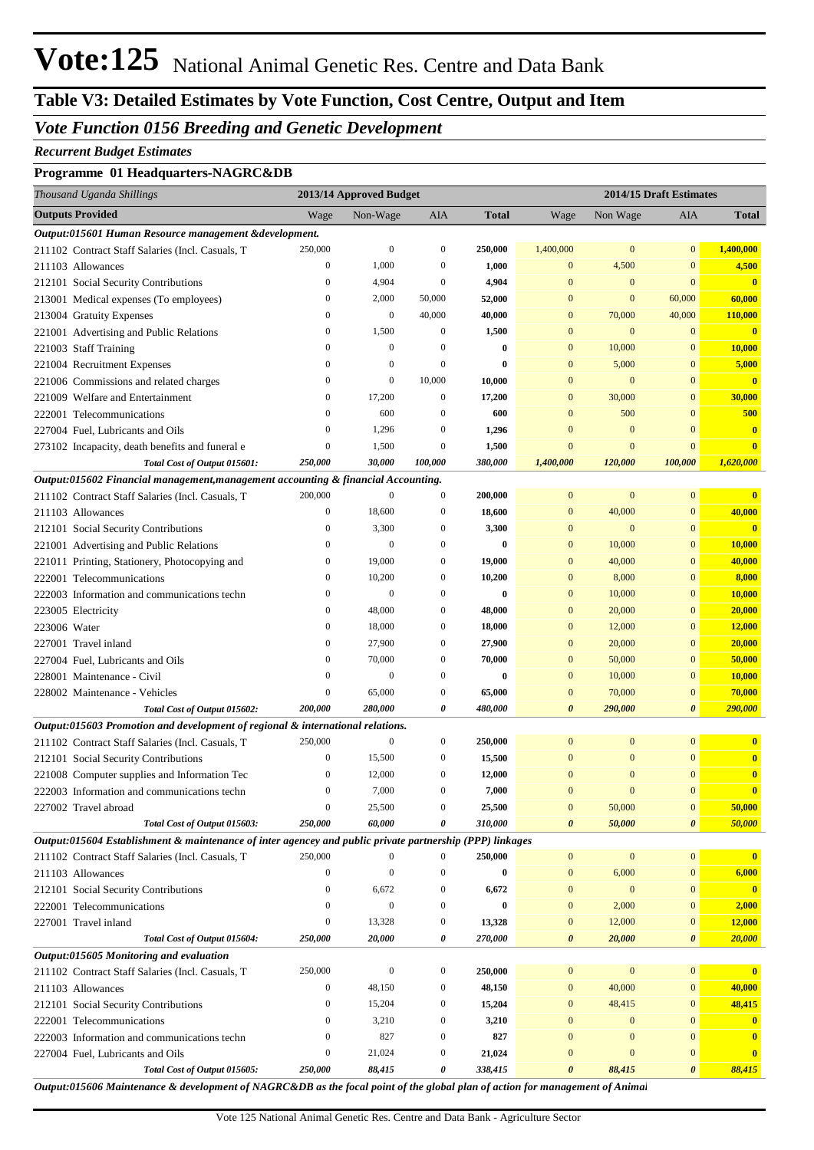# **Vote:125** National Animal Genetic Res. Centre and Data Bank

# **Table V3: Detailed Estimates by Vote Function, Cost Centre, Output and Item**

## *Vote Function 0156 Breeding and Genetic Development*

#### *Recurrent Budget Estimates*

#### **Programme 01 Headquarters-NAGRC&DB**

| Thousand Uganda Shillings                                                                                |                  | 2013/14 Approved Budget |                  |              |                  | 2014/15 Draft Estimates |                  |                         |
|----------------------------------------------------------------------------------------------------------|------------------|-------------------------|------------------|--------------|------------------|-------------------------|------------------|-------------------------|
| <b>Outputs Provided</b>                                                                                  | Wage             | Non-Wage                | <b>AIA</b>       | <b>Total</b> | Wage             | Non Wage                | <b>AIA</b>       | Total                   |
| Output:015601 Human Resource management &development.                                                    |                  |                         |                  |              |                  |                         |                  |                         |
| 211102 Contract Staff Salaries (Incl. Casuals, T                                                         | 250,000          | $\mathbf{0}$            | $\boldsymbol{0}$ | 250,000      | 1,400,000        | $\mathbf{0}$            | $\mathbf{0}$     | 1,400,000               |
| 211103 Allowances                                                                                        | $\boldsymbol{0}$ | 1,000                   | 0                | 1,000        | $\bf{0}$         | 4,500                   | $\boldsymbol{0}$ | 4,500                   |
| 212101 Social Security Contributions                                                                     | $\boldsymbol{0}$ | 4,904                   | $\boldsymbol{0}$ | 4,904        | $\bf{0}$         | $\mathbf{0}$            | $\mathbf{0}$     | $\overline{\mathbf{0}}$ |
| 213001 Medical expenses (To employees)                                                                   | $\boldsymbol{0}$ | 2,000                   | 50,000           | 52,000       | $\mathbf{0}$     | $\mathbf{0}$            | 60,000           | 60,000                  |
| 213004 Gratuity Expenses                                                                                 | $\boldsymbol{0}$ | $\mathbf{0}$            | 40,000           | 40,000       | $\bf{0}$         | 70,000                  | 40,000           | 110,000                 |
| 221001 Advertising and Public Relations                                                                  | $\boldsymbol{0}$ | 1,500                   | $\boldsymbol{0}$ | 1,500        | $\bf{0}$         | $\mathbf{0}$            | $\mathbf{0}$     | $\overline{\mathbf{0}}$ |
| 221003 Staff Training                                                                                    | $\boldsymbol{0}$ | $\mathbf{0}$            | 0                | $\bf{0}$     | $\bf{0}$         | 10,000                  | $\mathbf{0}$     | 10,000                  |
| 221004 Recruitment Expenses                                                                              | $\boldsymbol{0}$ | $\mathbf{0}$            | $\boldsymbol{0}$ | 0            | $\bf{0}$         | 5,000                   | $\bf{0}$         | 5,000                   |
| 221006 Commissions and related charges                                                                   | $\boldsymbol{0}$ | $\mathbf{0}$            | 10,000           | 10,000       | $\mathbf{0}$     | $\mathbf{0}$            | $\mathbf{0}$     | $\overline{\mathbf{0}}$ |
| 221009 Welfare and Entertainment                                                                         | $\boldsymbol{0}$ | 17,200                  | $\boldsymbol{0}$ | 17,200       | $\mathbf{0}$     | 30,000                  | $\mathbf{0}$     | 30,000                  |
| 222001 Telecommunications                                                                                | $\boldsymbol{0}$ | 600                     | 0                | 600          | $\mathbf{0}$     | 500                     | $\mathbf{0}$     | 500                     |
| 227004 Fuel, Lubricants and Oils                                                                         | $\boldsymbol{0}$ | 1,296                   | 0                | 1,296        | $\mathbf{0}$     | $\mathbf{0}$            | $\mathbf{0}$     | $\mathbf{0}$            |
| 273102 Incapacity, death benefits and funeral e                                                          | $\boldsymbol{0}$ | 1,500                   | $\boldsymbol{0}$ | 1,500        | $\mathbf{0}$     | $\mathbf{0}$            | $\mathbf{0}$     | $\overline{\mathbf{0}}$ |
| Total Cost of Output 015601:                                                                             | 250,000          | 30,000                  | 100,000          | 380,000      | 1,400,000        | 120,000                 | 100,000          | 1,620,000               |
| Output:015602 Financial management, management accounting & financial Accounting.                        |                  |                         |                  |              |                  |                         |                  |                         |
| 211102 Contract Staff Salaries (Incl. Casuals, T                                                         | 200,000          | $\mathbf{0}$            | $\boldsymbol{0}$ | 200,000      | $\mathbf{0}$     | $\boldsymbol{0}$        | $\mathbf{0}$     | $\bf{0}$                |
| 211103 Allowances                                                                                        | $\boldsymbol{0}$ | 18,600                  | 0                | 18,600       | $\boldsymbol{0}$ | 40,000                  | $\bf{0}$         | 40,000                  |
| 212101 Social Security Contributions                                                                     | $\boldsymbol{0}$ | 3,300                   | 0                | 3,300        | $\mathbf{0}$     | $\mathbf{0}$            | $\mathbf{0}$     | $\overline{\mathbf{0}}$ |
| 221001 Advertising and Public Relations                                                                  | $\boldsymbol{0}$ | $\mathbf{0}$            | 0                | $\bf{0}$     | $\bf{0}$         | 10,000                  | $\bf{0}$         | 10,000                  |
| 221011 Printing, Stationery, Photocopying and                                                            | $\bf{0}$         | 19,000                  | 0                | 19,000       | $\bf{0}$         | 40,000                  | $\bf{0}$         | 40,000                  |
| 222001 Telecommunications                                                                                | $\boldsymbol{0}$ | 10,200                  | 0                | 10,200       | $\mathbf{0}$     | 8,000                   | $\bf{0}$         | 8,000                   |
| 222003 Information and communications techn                                                              | 0                | $\mathbf{0}$            | $\boldsymbol{0}$ | $\bf{0}$     | $\mathbf{0}$     | 10,000                  | $\bf{0}$         | 10,000                  |
| 223005 Electricity                                                                                       | $\boldsymbol{0}$ | 48,000                  | $\boldsymbol{0}$ | 48,000       | $\mathbf{0}$     | 20,000                  | $\bf{0}$         | 20,000                  |
| 223006 Water                                                                                             | $\bf{0}$         | 18,000                  | 0                | 18,000       | $\mathbf{0}$     | 12,000                  | $\bf{0}$         | 12,000                  |
| 227001 Travel inland                                                                                     | $\boldsymbol{0}$ | 27,900                  | 0                | 27,900       | $\mathbf{0}$     | 20,000                  | $\bf{0}$         | 20,000                  |
| 227004 Fuel, Lubricants and Oils                                                                         | $\boldsymbol{0}$ | 70,000                  | 0                | 70,000       | $\mathbf{0}$     | 50,000                  | $\bf{0}$         | 50,000                  |
| 228001 Maintenance - Civil                                                                               | $\boldsymbol{0}$ | $\mathbf{0}$            | 0                | $\bf{0}$     | $\mathbf{0}$     | 10,000                  | $\mathbf{0}$     | 10,000                  |
| 228002 Maintenance - Vehicles                                                                            | $\boldsymbol{0}$ | 65,000                  | 0                | 65,000       | $\bf{0}$         | 70,000                  | $\bf{0}$         | 70,000                  |
| Total Cost of Output 015602:                                                                             | 200,000          | 280,000                 | 0                | 480,000      | 0                | 290,000                 | 0                | 290,000                 |
| Output:015603 Promotion and development of regional & international relations.                           |                  |                         |                  |              |                  |                         |                  |                         |
| 211102 Contract Staff Salaries (Incl. Casuals, T                                                         | 250,000          | $\mathbf{0}$            | $\boldsymbol{0}$ | 250,000      | $\mathbf{0}$     | $\mathbf{0}$            | $\mathbf{0}$     | $\mathbf{0}$            |
| 212101 Social Security Contributions                                                                     | $\boldsymbol{0}$ | 15,500                  | 0                | 15,500       | $\mathbf{0}$     | $\mathbf{0}$            | $\mathbf{0}$     | $\mathbf{0}$            |
| 221008 Computer supplies and Information Tec                                                             | $\bf{0}$         | 12,000                  | 0                | 12,000       | $\bf{0}$         | $\mathbf{0}$            | $\mathbf{0}$     | $\mathbf{0}$            |
| 222003 Information and communications techn                                                              | $\mathbf{0}$     | 7,000                   | $\mathbf{0}$     | 7,000        | $\overline{0}$   | $\mathbf{0}$            | $\overline{0}$   | $\overline{\mathbf{0}}$ |
| 227002 Travel abroad                                                                                     | $\boldsymbol{0}$ | 25,500                  | $\boldsymbol{0}$ | 25,500       | $\mathbf{0}$     | 50,000                  | $\boldsymbol{0}$ | 50,000                  |
| Total Cost of Output 015603:                                                                             | 250,000          | 60,000                  | 0                | 310,000      | 0                | 50,000                  | 0                | 50,000                  |
| Output:015604 Establishment & maintenance of inter agencey and public private partnership (PPP) linkages |                  |                         |                  |              |                  |                         |                  |                         |
| 211102 Contract Staff Salaries (Incl. Casuals, T                                                         | 250,000          | 0                       | 0                | 250,000      | $\boldsymbol{0}$ | $\bf{0}$                | $\mathbf{0}$     | $\mathbf{0}$            |
| 211103 Allowances                                                                                        | $\boldsymbol{0}$ | $\mathbf{0}$            | $\boldsymbol{0}$ | $\bf{0}$     | $\boldsymbol{0}$ | 6,000                   | $\mathbf{0}$     | 6,000                   |
| 212101 Social Security Contributions                                                                     | $\mathbf{0}$     | 6,672                   | $\boldsymbol{0}$ | 6,672        | $\bf{0}$         | $\mathbf{0}$            | $\mathbf{0}$     | $\overline{\mathbf{0}}$ |
| 222001 Telecommunications                                                                                | $\boldsymbol{0}$ | $\mathbf{0}$            | $\boldsymbol{0}$ | $\bf{0}$     | $\mathbf{0}$     | 2,000                   | $\boldsymbol{0}$ | 2,000                   |
| 227001 Travel inland                                                                                     | $\boldsymbol{0}$ | 13,328                  | $\boldsymbol{0}$ | 13,328       | $\boldsymbol{0}$ | 12,000                  | $\boldsymbol{0}$ | 12,000                  |
| Total Cost of Output 015604:                                                                             | 250,000          | 20,000                  | 0                | 270,000      | 0                | 20,000                  | 0                | 20,000                  |
| Output:015605 Monitoring and evaluation                                                                  |                  |                         |                  |              |                  |                         |                  |                         |
| 211102 Contract Staff Salaries (Incl. Casuals, T                                                         | 250,000          | $\mathbf{0}$            | $\boldsymbol{0}$ | 250,000      | $\boldsymbol{0}$ | $\boldsymbol{0}$        | $\mathbf{0}$     | $\mathbf{0}$            |
| 211103 Allowances                                                                                        | $\boldsymbol{0}$ | 48,150                  | 0                | 48,150       | $\boldsymbol{0}$ | 40,000                  | $\boldsymbol{0}$ | 40,000                  |
| 212101 Social Security Contributions                                                                     | $\boldsymbol{0}$ | 15,204                  | 0                | 15,204       | $\boldsymbol{0}$ | 48,415                  | $\mathbf{0}$     | 48,415                  |
| 222001 Telecommunications                                                                                | $\mathbf{0}$     | 3,210                   | $\boldsymbol{0}$ | 3,210        | $\mathbf{0}$     | $\mathbf{0}$            | $\mathbf{0}$     | $\mathbf{0}$            |
| 222003 Information and communications techn                                                              | $\mathbf{0}$     | 827                     | $\boldsymbol{0}$ | 827          | $\mathbf{0}$     | $\mathbf{0}$            | $\mathbf{0}$     | $\mathbf{0}$            |
| 227004 Fuel, Lubricants and Oils                                                                         | $\boldsymbol{0}$ | 21,024                  | $\boldsymbol{0}$ | 21,024       | $\mathbf{0}$     | $\mathbf{0}$            | $\boldsymbol{0}$ | $\mathbf{0}$            |
| Total Cost of Output 015605:                                                                             | 250,000          | 88,415                  | 0                | 338,415      | 0                | 88,415                  | 0                | 88,415                  |

*Output:015606 Maintenance & development of NAGRC&DB as the focal point of the global plan of action for management of Animal*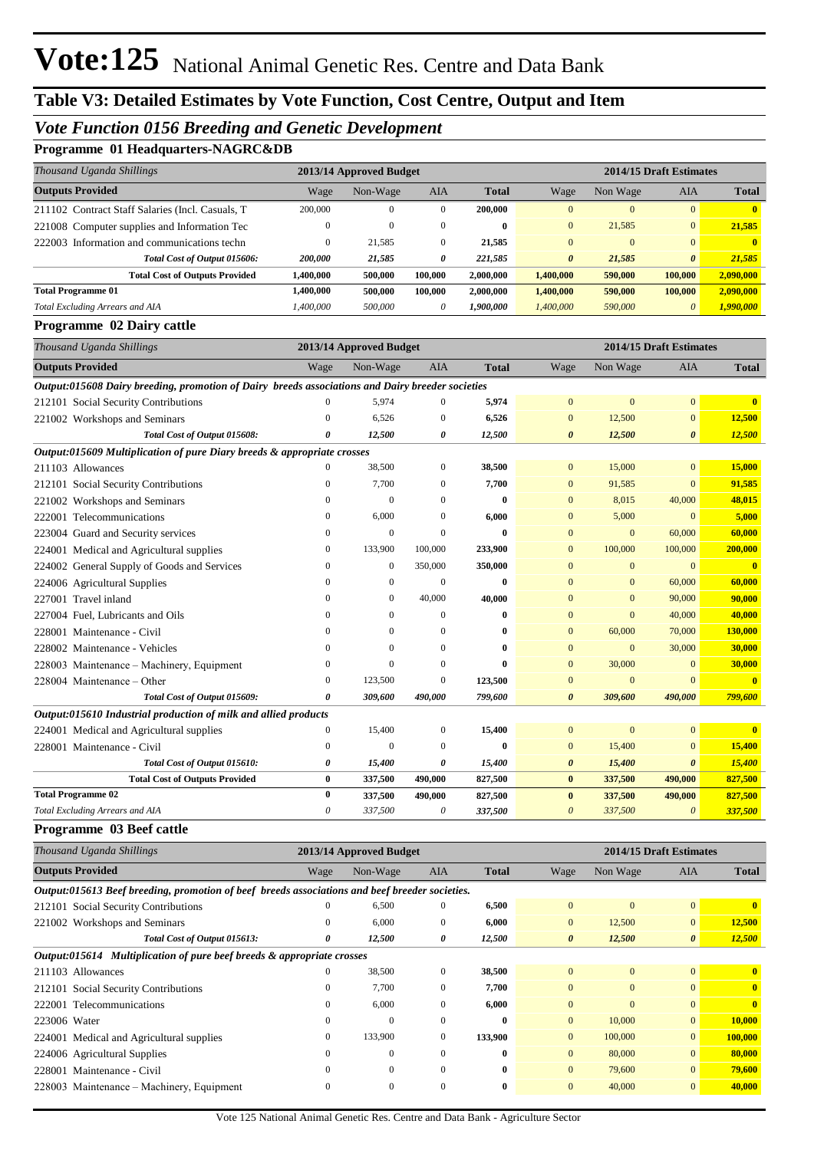## *Vote Function 0156 Breeding and Genetic Development*

### **Programme 01 Headquarters-NAGRC&DB**

| <u>opramme</u> of headquarely ruroncess<br>Thousand Uganda Shillings                             |                  | 2013/14 Approved Budget |                       |              |                       |                  | 2014/15 Draft Estimates |                         |
|--------------------------------------------------------------------------------------------------|------------------|-------------------------|-----------------------|--------------|-----------------------|------------------|-------------------------|-------------------------|
| <b>Outputs Provided</b>                                                                          | Wage             | Non-Wage                | AIA                   | <b>Total</b> | Wage                  | Non Wage         | AIA                     | <b>Total</b>            |
| 211102 Contract Staff Salaries (Incl. Casuals, T                                                 | 200,000          | $\boldsymbol{0}$        | $\boldsymbol{0}$      | 200,000      | $\mathbf{0}$          | $\mathbf{0}$     | $\mathbf{0}$            | $\overline{\mathbf{0}}$ |
| 221008 Computer supplies and Information Tec                                                     | $\boldsymbol{0}$ | $\theta$                | $\mathbf{0}$          | $\bf{0}$     | $\bf{0}$              | 21,585           | $\mathbf{0}$            | 21,585                  |
| 222003 Information and communications techn                                                      | $\boldsymbol{0}$ | 21,585                  | $\boldsymbol{0}$      | 21,585       | $\mathbf{0}$          | $\mathbf{0}$     | $\mathbf{0}$            | $\mathbf{0}$            |
| Total Cost of Output 015606:                                                                     | 200,000          | 21,585                  | 0                     | 221,585      | $\boldsymbol{\theta}$ | 21,585           | $\boldsymbol{\theta}$   | 21,585                  |
| <b>Total Cost of Outputs Provided</b>                                                            | 1,400,000        | 500,000                 | 100,000               | 2,000,000    | 1,400,000             | 590,000          | 100,000                 | 2,090,000               |
| <b>Total Programme 01</b>                                                                        | 1,400,000        | 500,000                 | 100,000               | 2,000,000    | 1,400,000             | 590,000          | 100,000                 | 2,090,000               |
| Total Excluding Arrears and AIA                                                                  | 1,400,000        | 500,000                 | $\boldsymbol{\theta}$ | 1,900,000    | 1,400,000             | 590,000          | $\theta$                | 1,990,000               |
| Programme 02 Dairy cattle                                                                        |                  |                         |                       |              |                       |                  |                         |                         |
| Thousand Uganda Shillings                                                                        |                  | 2013/14 Approved Budget |                       |              |                       |                  | 2014/15 Draft Estimates |                         |
| <b>Outputs Provided</b>                                                                          | Wage             | Non-Wage                | AIA                   | <b>Total</b> | Wage                  | Non Wage         | AIA                     | <b>Total</b>            |
| Output:015608 Dairy breeding, promotion of Dairy breeds associations and Dairy breeder societies |                  |                         |                       |              |                       |                  |                         |                         |
| 212101 Social Security Contributions                                                             | $\overline{0}$   | 5,974                   | $\boldsymbol{0}$      | 5,974        | $\bf{0}$              | $\boldsymbol{0}$ | $\mathbf{0}$            | $\overline{\mathbf{0}}$ |
| 221002 Workshops and Seminars                                                                    | $\mathbf{0}$     | 6,526                   | $\mathbf{0}$          | 6,526        | $\bf{0}$              | 12,500           | $\mathbf{0}$            | 12,500                  |
| Total Cost of Output 015608:                                                                     | 0                | 12,500                  | 0                     | 12,500       | 0                     | 12,500           | 0                       | 12,500                  |
| Output:015609 Multiplication of pure Diary breeds & appropriate crosses                          |                  |                         |                       |              |                       |                  |                         |                         |
| 211103 Allowances                                                                                | $\mathbf{0}$     | 38,500                  | $\boldsymbol{0}$      | 38,500       | $\bf{0}$              | 15,000           | $\mathbf{0}$            | 15,000                  |
| 212101 Social Security Contributions                                                             | $\boldsymbol{0}$ | 7,700                   | $\boldsymbol{0}$      | 7,700        | $\bf{0}$              | 91,585           | $\mathbf{0}$            | 91,585                  |
| 221002 Workshops and Seminars                                                                    | $\mathbf{0}$     | $\mathbf{0}$            | $\mathbf{0}$          | $\bf{0}$     | $\bf{0}$              | 8,015            | 40,000                  | 48,015                  |
| 222001 Telecommunications                                                                        | $\mathbf{0}$     | 6,000                   | $\theta$              | 6,000        | $\bf{0}$              | 5,000            | $\mathbf{0}$            | 5,000                   |
| 223004 Guard and Security services                                                               | $\boldsymbol{0}$ | $\mathbf{0}$            | $\theta$              | $\bf{0}$     | $\mathbf{0}$          | $\mathbf{0}$     | 60,000                  | 60,000                  |
| 224001 Medical and Agricultural supplies                                                         | $\boldsymbol{0}$ | 133,900                 | 100,000               | 233,900      | $\mathbf{0}$          | 100,000          | 100,000                 | 200,000                 |
| 224002 General Supply of Goods and Services                                                      | $\mathbf{0}$     | $\mathbf{0}$            | 350,000               | 350,000      | $\mathbf{0}$          | $\mathbf{0}$     | $\mathbf{0}$            | $\overline{\mathbf{0}}$ |
| 224006 Agricultural Supplies                                                                     | $\mathbf{0}$     | $\boldsymbol{0}$        | $\boldsymbol{0}$      | 0            | $\mathbf{0}$          | $\mathbf{0}$     | 60,000                  | 60,000                  |
| 227001 Travel inland                                                                             | $\mathbf{0}$     | $\boldsymbol{0}$        | 40,000                | 40,000       | $\mathbf{0}$          | $\mathbf{0}$     | 90,000                  | 90,000                  |
| 227004 Fuel, Lubricants and Oils                                                                 | $\mathbf{0}$     | $\mathbf{0}$            | $\boldsymbol{0}$      | 0            | $\mathbf{0}$          | $\mathbf{0}$     | 40,000                  | 40,000                  |
| 228001 Maintenance - Civil                                                                       | $\mathbf{0}$     | $\mathbf{0}$            | $\theta$              | 0            | $\mathbf{0}$          | 60,000           | 70,000                  | 130,000                 |
| 228002 Maintenance - Vehicles                                                                    | $\mathbf{0}$     | $\theta$                | $\theta$              | 0            | $\mathbf{0}$          | $\mathbf{0}$     | 30,000                  | 30,000                  |
| 228003 Maintenance - Machinery, Equipment                                                        | $\mathbf{0}$     | $\mathbf{0}$            | $\theta$              | $\bf{0}$     | $\mathbf{0}$          | 30,000           | $\mathbf{0}$            | 30,000                  |
| 228004 Maintenance – Other                                                                       | $\mathbf{0}$     | 123,500                 | $\boldsymbol{0}$      | 123,500      | $\bf{0}$              | $\mathbf{0}$     | $\mathbf{0}$            | $\overline{\mathbf{0}}$ |
| Total Cost of Output 015609:                                                                     | 0                | 309,600                 | 490,000               | 799,600      | $\boldsymbol{\theta}$ | 309,600          | 490,000                 | 799,600                 |
| Output:015610 Industrial production of milk and allied products                                  |                  |                         |                       |              |                       |                  |                         |                         |
| 224001 Medical and Agricultural supplies                                                         | $\boldsymbol{0}$ | 15,400                  | $\boldsymbol{0}$      | 15,400       | $\mathbf{0}$          | $\mathbf{0}$     | $\mathbf{0}$            | $\overline{\mathbf{0}}$ |
| 228001 Maintenance - Civil                                                                       | $\mathbf{0}$     | $\theta$                | $\mathbf{0}$          | 0            | $\bf{0}$              | 15,400           | $\mathbf{0}$            | 15,400                  |
| Total Cost of Output 015610:                                                                     | 0                | 15,400                  | 0                     | 15,400       | 0                     | 15,400           | $\boldsymbol{\theta}$   | 15,400                  |
| <b>Total Cost of Outputs Provided</b>                                                            | 0                | 337,500                 | 490,000               | 827,500      | $\pmb{0}$             | 337,500          | 490,000                 | 827,500                 |
| <b>Total Programme 02</b>                                                                        | 0                | 337,500                 | 490,000               | 827,500      | $\pmb{0}$             | 337,500          | 490,000                 | 827,500                 |
| Total Excluding Arrears and AIA                                                                  | 0                | 337,500                 | 0                     | 337,500      | $\boldsymbol{\theta}$ | 337,500          | $\boldsymbol{\theta}$   | 337,500                 |
| Programme 03 Beef cattle                                                                         |                  |                         |                       |              |                       |                  |                         |                         |
| Thousand Uganda Shillings                                                                        |                  | 2013/14 Approved Budget |                       |              |                       |                  | 2014/15 Draft Estimates |                         |
| <b>Outputs Provided</b>                                                                          | Wage             | Non-Wage                | AIA                   | <b>Total</b> | Wage                  | Non Wage         | AIA                     | <b>Total</b>            |
| Output:015613 Beef breeding, promotion of beef breeds associations and beef breeder societies.   |                  |                         |                       |              |                       |                  |                         |                         |
| 212101 Social Security Contributions                                                             | $\overline{0}$   | 6,500                   | $\boldsymbol{0}$      | 6,500        | $\boldsymbol{0}$      | $\boldsymbol{0}$ | $\mathbf{0}$            | $\overline{\mathbf{0}}$ |
| 221002 Workshops and Seminars                                                                    | $\boldsymbol{0}$ | 6,000                   | $\boldsymbol{0}$      | 6,000        | $\boldsymbol{0}$      | 12,500           | $\boldsymbol{0}$        | 12,500                  |
| Total Cost of Output 015613:                                                                     | 0                | 12,500                  | 0                     | 12,500       | $\boldsymbol{\theta}$ | 12,500           | $\boldsymbol{\theta}$   | 12,500                  |
| Output:015614 Multiplication of pure beef breeds & appropriate crosses                           |                  |                         |                       |              |                       |                  |                         |                         |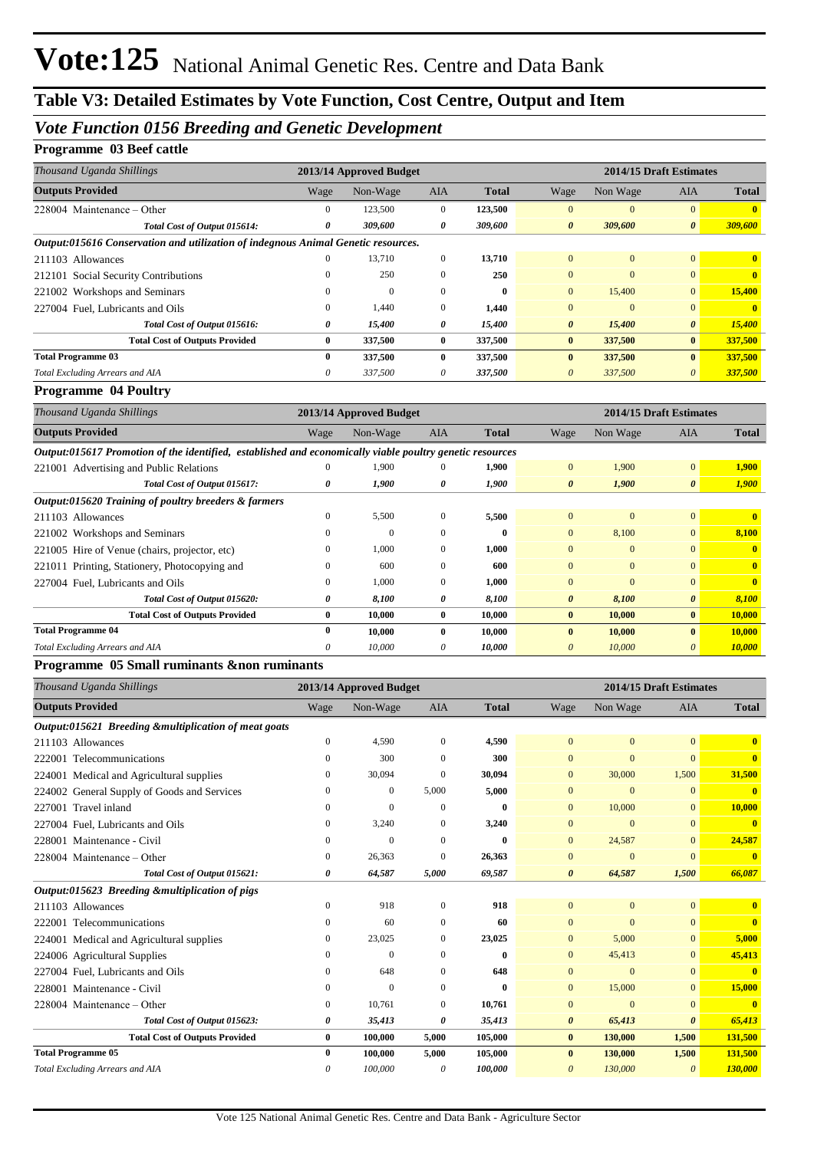## *Vote Function 0156 Breeding and Genetic Development*

### **Programme 03 Beef cattle**

| Wage     | Non-Wage     | <b>AIA</b>   | <b>Total</b>                                                                                                 | Wage                  | Non Wage | <b>AIA</b>            | <b>Total</b>            |
|----------|--------------|--------------|--------------------------------------------------------------------------------------------------------------|-----------------------|----------|-----------------------|-------------------------|
| 0        | 123,500      | $\Omega$     | 123,500                                                                                                      | $\Omega$              | $\Omega$ | $\Omega$              |                         |
| 0        | 309,600      | 0            | 309,600                                                                                                      | $\boldsymbol{\theta}$ | 309,600  | $\boldsymbol{\theta}$ | 309,600                 |
|          |              |              |                                                                                                              |                       |          |                       |                         |
| 0        | 13,710       | $\mathbf{0}$ | 13,710                                                                                                       | $\Omega$              | $\Omega$ | $\mathbf{0}$          | $\mathbf{0}$            |
| $^{(1)}$ | 250          | $\Omega$     | 250                                                                                                          | $\Omega$              | $\Omega$ | $\mathbf{0}$          | $\mathbf{0}$            |
| $^{(1)}$ | $\mathbf{0}$ | $\Omega$     | $\mathbf{0}$                                                                                                 | $\mathbf{0}$          | 15,400   | $\mathbf{0}$          | 15,400                  |
| 0        | 1,440        | $\Omega$     | 1,440                                                                                                        | $\mathbf{0}$          | $\Omega$ | $\mathbf{0}$          |                         |
| 0        | 15,400       | 0            | 15,400                                                                                                       | $\boldsymbol{\theta}$ | 15,400   | $\boldsymbol{\theta}$ | 15,400                  |
| $\bf{0}$ | 337,500      | $\mathbf{0}$ | 337,500                                                                                                      | $\bf{0}$              | 337,500  | $\bf{0}$              | 337,500                 |
| 0        | 337,500      | $\mathbf{0}$ | 337,500                                                                                                      | $\mathbf{0}$          | 337,500  | $\bf{0}$              | 337,500                 |
| 0        | 337,500      | 0            | 337,500                                                                                                      | $\theta$              | 337,500  | 0                     | 337,500                 |
|          |              |              | 2013/14 Approved Budget<br>Output:015616 Conservation and utilization of indegnous Animal Genetic resources. |                       |          |                       | 2014/15 Draft Estimates |

#### **Programme 04 Poultry**

| Thousand Uganda Shillings                                                                                |          | 2013/14 Approved Budget |              |              |                       | 2014/15 Draft Estimates |                       |                |
|----------------------------------------------------------------------------------------------------------|----------|-------------------------|--------------|--------------|-----------------------|-------------------------|-----------------------|----------------|
| <b>Outputs Provided</b>                                                                                  | Wage     | Non-Wage                | <b>AIA</b>   | Total        | Wage                  | Non Wage                | <b>AIA</b>            | <b>Total</b>   |
| Output:015617 Promotion of the identified, established and economically viable poultry genetic resources |          |                         |              |              |                       |                         |                       |                |
| 221001 Advertising and Public Relations                                                                  |          | 1.900                   |              | 1,900        | $\Omega$              | 1,900                   | $\overline{0}$        | 1,900          |
| Total Cost of Output 015617:                                                                             | 0        | 1,900                   | 0            | 1,900        | $\boldsymbol{\theta}$ | 1,900                   | $\boldsymbol{\theta}$ | 1,900          |
| Output:015620 Training of poultry breeders & farmers                                                     |          |                         |              |              |                       |                         |                       |                |
| 211103 Allowances                                                                                        |          | 5,500                   |              | 5,500        | $\mathbf{0}$          | $\mathbf{0}$            | $\overline{0}$        | $\mathbf{0}$   |
| 221002 Workshops and Seminars                                                                            |          | $\Omega$                | $\Omega$     | $\mathbf{0}$ | $\Omega$              | 8,100                   | $\overline{0}$        | 8,100          |
| 221005 Hire of Venue (chairs, projector, etc)                                                            |          | 1,000                   | $\Omega$     | 1,000        | $\Omega$              | $\mathbf{0}$            | $\Omega$              | $\mathbf{0}$   |
| 221011 Printing, Stationery, Photocopying and                                                            | $\Omega$ | 600                     | $\Omega$     | 600          | $\Omega$              | $\Omega$                | $\Omega$              | $\overline{0}$ |
| 227004 Fuel, Lubricants and Oils                                                                         | $\Omega$ | 1,000                   | $\Omega$     | 1,000        | $\Omega$              | $\Omega$                | $\Omega$              | $\overline{0}$ |
| Total Cost of Output 015620:                                                                             | 0        | 8,100                   | 0            | 8,100        | $\theta$              | 8,100                   | $\boldsymbol{\theta}$ | 8,100          |
| <b>Total Cost of Outputs Provided</b>                                                                    | $\bf{0}$ | 10,000                  | $\mathbf{0}$ | 10,000       | $\bf{0}$              | 10,000                  | $\mathbf{0}$          | 10,000         |
| <b>Total Programme 04</b>                                                                                | 0        | 10,000                  | 0            | 10,000       | $\mathbf{0}$          | 10,000                  | $\mathbf{0}$          | 10,000         |
| Total Excluding Arrears and AIA                                                                          | 0        | 10.000                  | 0            | 10,000       | 0                     | 10,000                  | $\theta$              | 10,000         |

#### **Programme 05 Small ruminants &non ruminants**

| Thousand Uganda Shillings                            |                  | 2013/14 Approved Budget |              |              |                       |                | 2014/15 Draft Estimates |              |
|------------------------------------------------------|------------------|-------------------------|--------------|--------------|-----------------------|----------------|-------------------------|--------------|
| <b>Outputs Provided</b>                              | Wage             | Non-Wage                | AIA          | <b>Total</b> | Wage                  | Non Wage       | <b>AIA</b>              | <b>Total</b> |
| Output:015621 Breeding &multiplication of meat goats |                  |                         |              |              |                       |                |                         |              |
| 211103 Allowances                                    | $\mathbf{0}$     | 4,590                   | $\mathbf{0}$ | 4,590        | $\overline{0}$        | $\mathbf{0}$   | $\Omega$                | $\mathbf{0}$ |
| 222001 Telecommunications                            | $\mathbf{0}$     | 300                     | $\mathbf{0}$ | 300          | $\overline{0}$        | $\Omega$       | $\overline{0}$          | $\mathbf{0}$ |
| 224001 Medical and Agricultural supplies             | $\mathbf{0}$     | 30,094                  | $\Omega$     | 30,094       | $\mathbf{0}$          | 30,000         | 1,500                   | 31,500       |
| 224002 General Supply of Goods and Services          | $\Omega$         | $\mathbf{0}$            | 5,000        | 5,000        | $\mathbf{0}$          | $\mathbf{0}$   | $\overline{0}$          | $\mathbf{0}$ |
| 227001 Travel inland                                 | $\Omega$         | $\theta$                | $\mathbf{0}$ | $\bf{0}$     | $\mathbf{0}$          | 10,000         | $\mathbf{0}$            | 10,000       |
| 227004 Fuel, Lubricants and Oils                     | $\mathbf{0}$     | 3,240                   | $\mathbf{0}$ | 3,240        | $\mathbf{0}$          | $\mathbf{0}$   | $\mathbf{0}$            | $\mathbf{0}$ |
| 228001 Maintenance - Civil                           | $\mathbf{0}$     | $\Omega$                | $\mathbf{0}$ | $\mathbf{0}$ | $\mathbf{0}$          | 24,587         | $\mathbf{0}$            | 24,587       |
| 228004 Maintenance – Other                           | $\mathbf{0}$     | 26,363                  | $\Omega$     | 26,363       | $\mathbf{0}$          | $\mathbf{0}$   | $\Omega$                | $\mathbf{0}$ |
| Total Cost of Output 015621:                         | 0                | 64,587                  | 5,000        | 69,587       | $\boldsymbol{\theta}$ | 64,587         | 1,500                   | 66,087       |
| Output:015623 Breeding &multiplication of pigs       |                  |                         |              |              |                       |                |                         |              |
| 211103 Allowances                                    | $\mathbf{0}$     | 918                     | $\mathbf{0}$ | 918          | $\mathbf{0}$          | $\mathbf{0}$   | $\mathbf{0}$            | $\mathbf{0}$ |
| 222001 Telecommunications                            | $\mathbf{0}$     | 60                      | 0            | 60           | $\Omega$              | $\Omega$       | $\Omega$                | $\mathbf{0}$ |
| 224001 Medical and Agricultural supplies             | $\Omega$         | 23,025                  | $\mathbf{0}$ | 23,025       | $\mathbf{0}$          | 5,000          | $\Omega$                | 5,000        |
| 224006 Agricultural Supplies                         | $\Omega$         | $\Omega$                | 0            | $\mathbf{0}$ | $\mathbf{0}$          | 45,413         | $\mathbf{0}$            | 45,413       |
| 227004 Fuel. Lubricants and Oils                     | $\Omega$         | 648                     | $\mathbf{0}$ | 648          | $\overline{0}$        | $\Omega$       | $\Omega$                | $\mathbf{0}$ |
| 228001 Maintenance - Civil                           | $\mathbf{0}$     | $\Omega$                | $\Omega$     | 0            | $\mathbf{0}$          | 15,000         | $\Omega$                | 15,000       |
| 228004 Maintenance – Other                           | $\boldsymbol{0}$ | 10,761                  | $\mathbf{0}$ | 10,761       | $\mathbf{0}$          | $\overline{0}$ | $\overline{0}$          | $\mathbf{0}$ |
| Total Cost of Output 015623:                         | 0                | 35,413                  | 0            | 35,413       | 0                     | 65,413         | $\boldsymbol{\theta}$   | 65,413       |
| <b>Total Cost of Outputs Provided</b>                | $\bf{0}$         | 100,000                 | 5,000        | 105,000      | $\bf{0}$              | 130,000        | 1,500                   | 131,500      |
| <b>Total Programme 05</b>                            | $\mathbf{0}$     | 100,000                 | 5,000        | 105,000      | $\mathbf{0}$          | 130,000        | 1,500                   | 131,500      |
| Total Excluding Arrears and AIA                      | 0                | 100,000                 | 0            | 100,000      | $\theta$              | 130,000        | $\theta$                | 130,000      |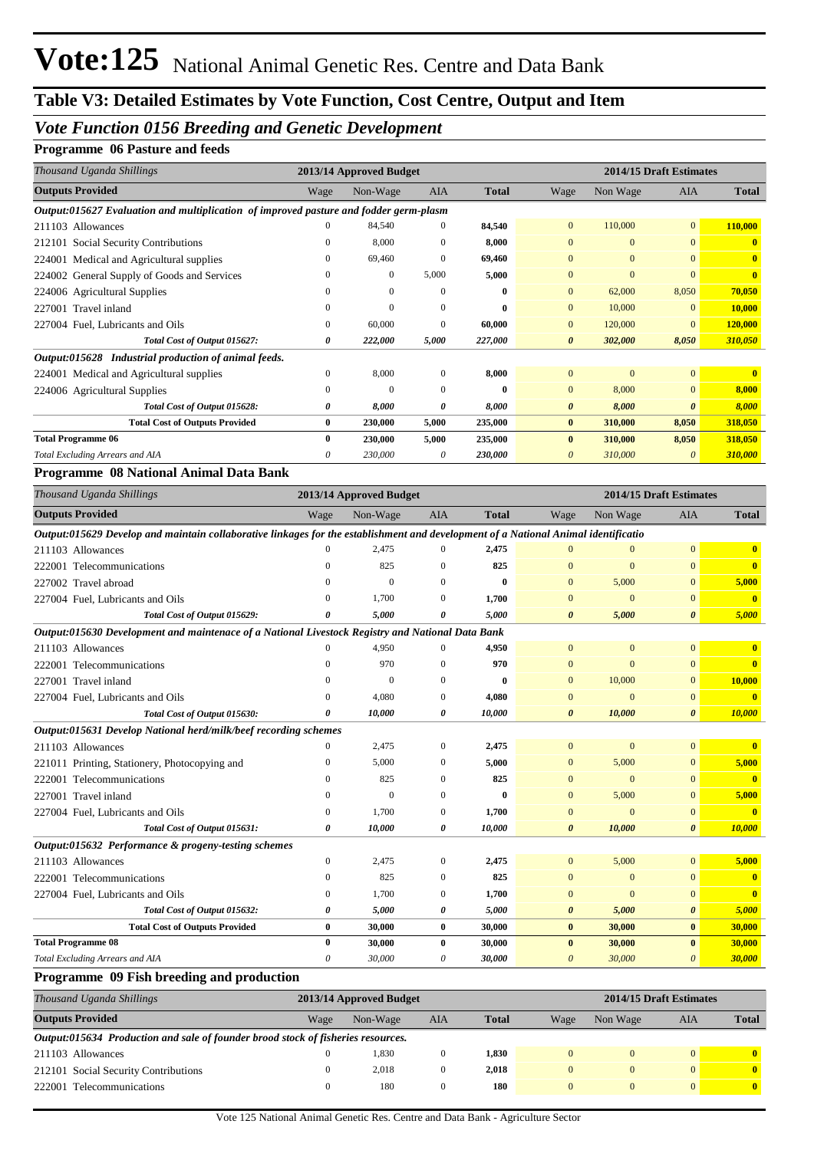## *Vote Function 0156 Breeding and Genetic Development*

#### **Programme 06 Pasture and feeds**

| Thousand Uganda Shillings                                                             |          | 2013/14 Approved Budget |            |              |                |              | 2014/15 Draft Estimates |              |
|---------------------------------------------------------------------------------------|----------|-------------------------|------------|--------------|----------------|--------------|-------------------------|--------------|
| <b>Outputs Provided</b>                                                               | Wage     | Non-Wage                | <b>AIA</b> | <b>Total</b> | Wage           | Non Wage     | <b>AIA</b>              | <b>Total</b> |
| Output:015627 Evaluation and multiplication of improved pasture and fodder germ-plasm |          |                         |            |              |                |              |                         |              |
| 211103 Allowances                                                                     | $\Omega$ | 84,540                  | $\Omega$   | 84,540       | $\overline{0}$ | 110,000      | $\overline{0}$          | 110,000      |
| 212101 Social Security Contributions                                                  | $\Omega$ | 8,000                   | 0          | 8,000        | $\overline{0}$ | $\mathbf{0}$ | $\overline{0}$          | $\mathbf{0}$ |
| 224001 Medical and Agricultural supplies                                              |          | 69,460                  | 0          | 69,460       | $\overline{0}$ | $\mathbf{0}$ | $\Omega$                | $\mathbf{0}$ |
| 224002 General Supply of Goods and Services                                           |          | $\mathbf{0}$            | 5,000      | 5,000        | $\Omega$       | $\Omega$     | $\Omega$                | $\mathbf{0}$ |
| 224006 Agricultural Supplies                                                          |          | $\Omega$                | $\Omega$   | 0            | $\Omega$       | 62,000       | 8,050                   | 70,050       |
| 227001 Travel inland                                                                  |          | $\Omega$                | $\Omega$   | 0            | $\Omega$       | 10,000       | $\Omega$                | 10,000       |
| 227004 Fuel, Lubricants and Oils                                                      | $\Omega$ | 60,000                  | $\Omega$   | 60,000       | $\overline{0}$ | 120,000      | $\Omega$                | 120,000      |
| Total Cost of Output 015627:                                                          | 0        | 222,000                 | 5,000      | 227,000      | 0              | 302,000      | 8,050                   | 310,050      |
| Output:015628 Industrial production of animal feeds.                                  |          |                         |            |              |                |              |                         |              |
| 224001 Medical and Agricultural supplies                                              | $\Omega$ | 8,000                   | $\Omega$   | 8,000        | $\Omega$       | $\Omega$     | $\overline{0}$          | $\mathbf{0}$ |
| 224006 Agricultural Supplies                                                          | $\Omega$ | $\Omega$                | $\Omega$   | 0            | $\Omega$       | 8,000        | $\overline{0}$          | 8,000        |
| Total Cost of Output 015628:                                                          | 0        | 8,000                   | 0          | 8,000        | $\theta$       | 8,000        | 0                       | 8,000        |
| <b>Total Cost of Outputs Provided</b>                                                 | 0        | 230,000                 | 5,000      | 235,000      | $\bf{0}$       | 310,000      | 8,050                   | 318,050      |
| <b>Total Programme 06</b>                                                             | 0        | 230,000                 | 5,000      | 235,000      | $\mathbf{0}$   | 310,000      | 8,050                   | 318,050      |
| Total Excluding Arrears and AIA                                                       | 0        | 230,000                 | $\theta$   | 230,000      | 0              | 310,000      | 0                       | 310,000      |

#### **Programme 08 National Animal Data Bank**

| Thousand Uganda Shillings                                                                                                          |              | 2013/14 Approved Budget |              |              |                       | 2014/15 Draft Estimates |                       |              |
|------------------------------------------------------------------------------------------------------------------------------------|--------------|-------------------------|--------------|--------------|-----------------------|-------------------------|-----------------------|--------------|
| <b>Outputs Provided</b>                                                                                                            | Wage         | Non-Wage                | <b>AIA</b>   | <b>Total</b> | Wage                  | Non Wage                | <b>AIA</b>            | <b>Total</b> |
| Output:015629 Develop and maintain collaborative linkages for the establishment and development of a National Animal identificatio |              |                         |              |              |                       |                         |                       |              |
| 211103 Allowances                                                                                                                  | 0            | 2,475                   | $\Omega$     | 2,475        | 0                     | $\mathbf{0}$            | $\overline{0}$        | $\mathbf{0}$ |
| 222001 Telecommunications                                                                                                          | $\Omega$     | 825                     | $\Omega$     | 825          | $\Omega$              | $\Omega$                | $\Omega$              | $\mathbf{0}$ |
| 227002 Travel abroad                                                                                                               | 0            | $\Omega$                | $\Omega$     | $\mathbf{0}$ | $\Omega$              | 5,000                   | $\Omega$              | 5,000        |
| 227004 Fuel, Lubricants and Oils                                                                                                   | $\Omega$     | 1.700                   | $\theta$     | 1,700        | $\Omega$              | $\overline{0}$          | $\mathbf{0}$          | $\mathbf{0}$ |
| Total Cost of Output 015629:                                                                                                       | 0            | 5,000                   | 0            | 5,000        | $\boldsymbol{\theta}$ | 5,000                   | $\boldsymbol{\theta}$ | 5,000        |
| Output:015630 Development and maintenace of a National Livestock Registry and National Data Bank                                   |              |                         |              |              |                       |                         |                       |              |
| 211103 Allowances                                                                                                                  |              | 4,950                   |              | 4,950        | $\Omega$              | $\mathbf{0}$            | $\overline{0}$        | $\mathbf{0}$ |
| 222001 Telecommunications                                                                                                          | $\Omega$     | 970                     | $\mathbf{0}$ | 970          | $\mathbf{0}$          | $\mathbf{0}$            | $\mathbf{0}$          | $\mathbf{0}$ |
| 227001 Travel inland                                                                                                               | $\Omega$     | $\mathbf{0}$            | $\Omega$     | $\bf{0}$     | $\Omega$              | 10,000                  | $\overline{0}$        | 10,000       |
| 227004 Fuel, Lubricants and Oils                                                                                                   | 0            | 4,080                   | $\mathbf{0}$ | 4,080        | $\Omega$              | $\overline{0}$          | $\mathbf{0}$          | $\mathbf{0}$ |
| Total Cost of Output 015630:                                                                                                       | 0            | 10,000                  | 0            | 10,000       | $\boldsymbol{\theta}$ | 10,000                  | $\boldsymbol{\theta}$ | 10,000       |
| Output:015631 Develop National herd/milk/beef recording schemes                                                                    |              |                         |              |              |                       |                         |                       |              |
| 211103 Allowances                                                                                                                  | 0            | 2,475                   | $\mathbf{0}$ | 2,475        | $\Omega$              | $\overline{0}$          | $\Omega$              | $\mathbf{0}$ |
| 221011 Printing, Stationery, Photocopying and                                                                                      | $\Omega$     | 5,000                   | $\Omega$     | 5,000        | $\Omega$              | 5,000                   | $\Omega$              | 5,000        |
| 222001 Telecommunications                                                                                                          | $\theta$     | 825                     | $\Omega$     | 825          | $\Omega$              | $\overline{0}$          | $\Omega$              | $\mathbf{0}$ |
| 227001 Travel inland                                                                                                               | 0            | $\overline{0}$          | $\mathbf{0}$ | $\bf{0}$     | $\mathbf{0}$          | 5,000                   | $\overline{0}$        | 5,000        |
| 227004 Fuel, Lubricants and Oils                                                                                                   | 0            | 1.700                   | $\mathbf{0}$ | 1,700        | $\mathbf{0}$          | $\overline{0}$          | $\mathbf{0}$          | $\mathbf{0}$ |
| Total Cost of Output 015631:                                                                                                       | 0            | 10,000                  | 0            | 10,000       | $\boldsymbol{\theta}$ | 10,000                  | $\boldsymbol{\theta}$ | 10,000       |
| Output:015632 Performance & progeny-testing schemes                                                                                |              |                         |              |              |                       |                         |                       |              |
| 211103 Allowances                                                                                                                  | $\mathbf{0}$ | 2,475                   | $\mathbf{0}$ | 2,475        | $\overline{0}$        | 5,000                   | $\overline{0}$        | 5,000        |
| 222001 Telecommunications                                                                                                          | $\mathbf{0}$ | 825                     | $\mathbf{0}$ | 825          | $\Omega$              | $\mathbf{0}$            | $\Omega$              | $\mathbf{0}$ |
| 227004 Fuel, Lubricants and Oils                                                                                                   | $\mathbf{0}$ | 1,700                   | $\mathbf{0}$ | 1,700        | $\Omega$              | $\overline{0}$          | $\Omega$              | $\mathbf{0}$ |
| Total Cost of Output 015632:                                                                                                       | 0            | 5,000                   | 0            | 5,000        | $\boldsymbol{\theta}$ | 5,000                   | $\boldsymbol{\theta}$ | 5,000        |
| <b>Total Cost of Outputs Provided</b>                                                                                              | $\bf{0}$     | 30,000                  | $\bf{0}$     | 30,000       | $\bf{0}$              | 30,000                  | $\bf{0}$              | 30,000       |
| <b>Total Programme 08</b>                                                                                                          | $\bf{0}$     | 30,000                  | 0            | 30,000       | $\mathbf{0}$          | 30,000                  | $\mathbf{0}$          | 30,000       |
| Total Excluding Arrears and AIA                                                                                                    | 0            | 30,000                  | 0            | 30,000       | $\Omega$              | 30,000                  | $\Omega$              | 30,000       |

#### **Programme 09 Fish breeding and production**

| Thousand Uganda Shillings                                                        |      | 2013/14 Approved Budget |          |              |          |          | 2014/15 Draft Estimates |                |  |
|----------------------------------------------------------------------------------|------|-------------------------|----------|--------------|----------|----------|-------------------------|----------------|--|
| <b>Outputs Provided</b>                                                          | Wage | Non-Wage                | AIA      | <b>Total</b> | Wage     | Non Wage | AIA                     | <b>Total</b>   |  |
| Output:015634 Production and sale of founder brood stock of fisheries resources. |      |                         |          |              |          |          |                         |                |  |
| 211103 Allowances                                                                |      | 1.830                   | $\bf{0}$ | 1.830        | $\Omega$ |          | $\Omega$                | $\mathbf{0}$   |  |
| 212101 Social Security Contributions                                             |      | 2.018                   | $\Omega$ | 2.018        | $\Omega$ |          | $\Omega$                | $\mathbf{0}$   |  |
| 222001 Telecommunications                                                        |      | 180                     |          | 180          | $\Omega$ |          | $\mathbf{0}$            | $\overline{0}$ |  |